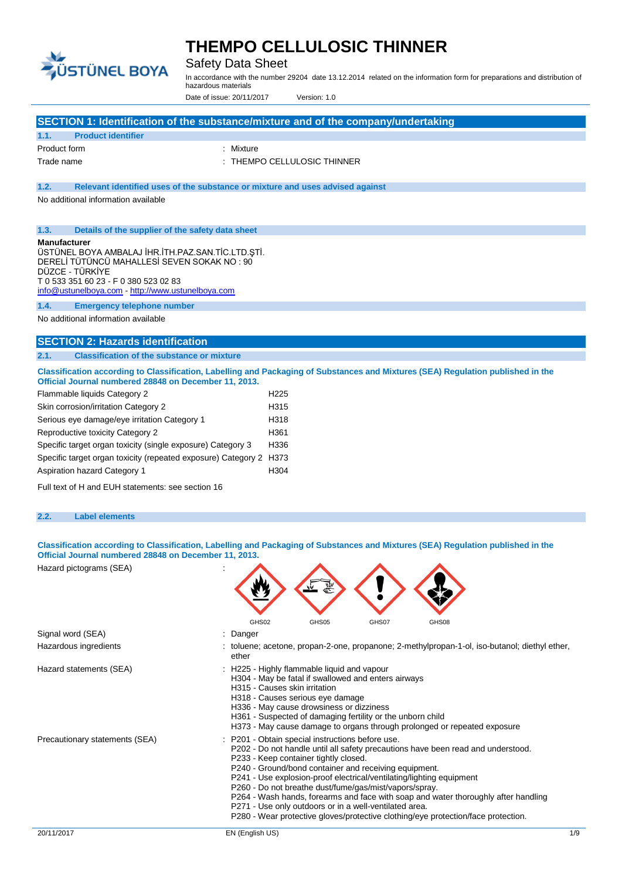

Product form  $\qquad \qquad :$  Mixture

**1.1. Product identifier**

# **THEMPO CELLULOSIC THINNER**

Safety Data Sheet

In accordance with the number 29204 date 13.12.2014 related on the information form for preparations and distribution of hazardous materials

Date of issue: 20/11/2017 Version: 1.0

Trade name  $\qquad \qquad : \qquad \qquad$  THEMPO CELLULOSIC THINNER

**SECTION 1: Identification of the substance/mixture and of the company/undertaking**

| 1.2.<br>Relevant identified uses of the substance or mixture and uses advised against                                                                                                     |                                                  |                                                                                                        |       |                                                                                             |     |
|-------------------------------------------------------------------------------------------------------------------------------------------------------------------------------------------|--------------------------------------------------|--------------------------------------------------------------------------------------------------------|-------|---------------------------------------------------------------------------------------------|-----|
| No additional information available                                                                                                                                                       |                                                  |                                                                                                        |       |                                                                                             |     |
|                                                                                                                                                                                           |                                                  |                                                                                                        |       |                                                                                             |     |
|                                                                                                                                                                                           |                                                  |                                                                                                        |       |                                                                                             |     |
| 1.3.<br>Details of the supplier of the safety data sheet                                                                                                                                  |                                                  |                                                                                                        |       |                                                                                             |     |
| <b>Manufacturer</b><br>ÜSTÜNEL BOYA AMBALAJ İHR.İTH.PAZ.SAN.TİC.LTD.ŞTİ.                                                                                                                  |                                                  |                                                                                                        |       |                                                                                             |     |
| DERELİ TÜTÜNCÜ MAHALLESİ SEVEN SOKAK NO : 90                                                                                                                                              |                                                  |                                                                                                        |       |                                                                                             |     |
| DÜZCE - TÜRKİYE                                                                                                                                                                           |                                                  |                                                                                                        |       |                                                                                             |     |
| T 0 533 351 60 23 - F 0 380 523 02 83                                                                                                                                                     |                                                  |                                                                                                        |       |                                                                                             |     |
| info@ustunelboya.com http://www.ustunelboya.com                                                                                                                                           |                                                  |                                                                                                        |       |                                                                                             |     |
| 1.4.<br><b>Emergency telephone number</b>                                                                                                                                                 |                                                  |                                                                                                        |       |                                                                                             |     |
| No additional information available                                                                                                                                                       |                                                  |                                                                                                        |       |                                                                                             |     |
|                                                                                                                                                                                           |                                                  |                                                                                                        |       |                                                                                             |     |
| <b>SECTION 2: Hazards identification</b>                                                                                                                                                  |                                                  |                                                                                                        |       |                                                                                             |     |
| <b>Classification of the substance or mixture</b><br>2.1.                                                                                                                                 |                                                  |                                                                                                        |       |                                                                                             |     |
| Classification according to Classification, Labelling and Packaging of Substances and Mixtures (SEA) Regulation published in the<br>Official Journal numbered 28848 on December 11, 2013. |                                                  |                                                                                                        |       |                                                                                             |     |
| Flammable liquids Category 2                                                                                                                                                              | H <sub>225</sub>                                 |                                                                                                        |       |                                                                                             |     |
| Skin corrosion/irritation Category 2                                                                                                                                                      | H315                                             |                                                                                                        |       |                                                                                             |     |
| Serious eye damage/eye irritation Category 1                                                                                                                                              | H318                                             |                                                                                                        |       |                                                                                             |     |
| Reproductive toxicity Category 2                                                                                                                                                          | H361                                             |                                                                                                        |       |                                                                                             |     |
| Specific target organ toxicity (single exposure) Category 3                                                                                                                               | H336                                             |                                                                                                        |       |                                                                                             |     |
| Specific target organ toxicity (repeated exposure) Category 2 H373                                                                                                                        |                                                  |                                                                                                        |       |                                                                                             |     |
| Aspiration hazard Category 1                                                                                                                                                              | H304                                             |                                                                                                        |       |                                                                                             |     |
|                                                                                                                                                                                           |                                                  |                                                                                                        |       |                                                                                             |     |
| Full text of H and EUH statements: see section 16                                                                                                                                         |                                                  |                                                                                                        |       |                                                                                             |     |
|                                                                                                                                                                                           |                                                  |                                                                                                        |       |                                                                                             |     |
| 2.2.<br><b>Label elements</b>                                                                                                                                                             |                                                  |                                                                                                        |       |                                                                                             |     |
|                                                                                                                                                                                           |                                                  |                                                                                                        |       |                                                                                             |     |
| Classification according to Classification, Labelling and Packaging of Substances and Mixtures (SEA) Regulation published in the                                                          |                                                  |                                                                                                        |       |                                                                                             |     |
| Official Journal numbered 28848 on December 11, 2013.                                                                                                                                     |                                                  |                                                                                                        |       |                                                                                             |     |
| Hazard pictograms (SEA)                                                                                                                                                                   |                                                  |                                                                                                        |       |                                                                                             |     |
|                                                                                                                                                                                           |                                                  |                                                                                                        |       |                                                                                             |     |
|                                                                                                                                                                                           |                                                  |                                                                                                        |       |                                                                                             |     |
|                                                                                                                                                                                           |                                                  |                                                                                                        |       |                                                                                             |     |
|                                                                                                                                                                                           |                                                  |                                                                                                        |       |                                                                                             |     |
| Signal word (SEA)                                                                                                                                                                         | GHS02                                            | GHS05                                                                                                  | GHS07 | GHS08                                                                                       |     |
|                                                                                                                                                                                           | : Danger                                         |                                                                                                        |       |                                                                                             |     |
| Hazardous ingredients                                                                                                                                                                     | ether                                            |                                                                                                        |       | toluene; acetone, propan-2-one, propanone; 2-methylpropan-1-ol, iso-butanol; diethyl ether, |     |
| Hazard statements (SEA)                                                                                                                                                                   | : H225 - Highly flammable liquid and vapour      |                                                                                                        |       |                                                                                             |     |
|                                                                                                                                                                                           |                                                  | H304 - May be fatal if swallowed and enters airways                                                    |       |                                                                                             |     |
|                                                                                                                                                                                           | H315 - Causes skin irritation                    |                                                                                                        |       |                                                                                             |     |
|                                                                                                                                                                                           |                                                  | H318 - Causes serious eye damage                                                                       |       |                                                                                             |     |
|                                                                                                                                                                                           |                                                  | H336 - May cause drowsiness or dizziness<br>H361 - Suspected of damaging fertility or the unborn child |       |                                                                                             |     |
|                                                                                                                                                                                           |                                                  |                                                                                                        |       | H373 - May cause damage to organs through prolonged or repeated exposure                    |     |
| Precautionary statements (SEA)                                                                                                                                                            | : P201 - Obtain special instructions before use. |                                                                                                        |       |                                                                                             |     |
|                                                                                                                                                                                           |                                                  |                                                                                                        |       | P202 - Do not handle until all safety precautions have been read and understood.            |     |
|                                                                                                                                                                                           |                                                  | P233 - Keep container tightly closed.                                                                  |       |                                                                                             |     |
|                                                                                                                                                                                           |                                                  | P240 - Ground/bond container and receiving equipment.                                                  |       | P241 - Use explosion-proof electrical/ventilating/lighting equipment                        |     |
|                                                                                                                                                                                           |                                                  | P260 - Do not breathe dust/fume/gas/mist/vapors/spray.                                                 |       |                                                                                             |     |
|                                                                                                                                                                                           |                                                  |                                                                                                        |       | P264 - Wash hands, forearms and face with soap and water thoroughly after handling          |     |
|                                                                                                                                                                                           |                                                  | P271 - Use only outdoors or in a well-ventilated area.                                                 |       | P280 - Wear protective gloves/protective clothing/eye protection/face protection.           |     |
|                                                                                                                                                                                           |                                                  |                                                                                                        |       |                                                                                             |     |
| 20/11/2017                                                                                                                                                                                | EN (English US)                                  |                                                                                                        |       |                                                                                             | 1/9 |
|                                                                                                                                                                                           |                                                  |                                                                                                        |       |                                                                                             |     |
|                                                                                                                                                                                           |                                                  |                                                                                                        |       |                                                                                             |     |
|                                                                                                                                                                                           |                                                  |                                                                                                        |       |                                                                                             |     |
|                                                                                                                                                                                           |                                                  |                                                                                                        |       |                                                                                             |     |
|                                                                                                                                                                                           |                                                  |                                                                                                        |       |                                                                                             |     |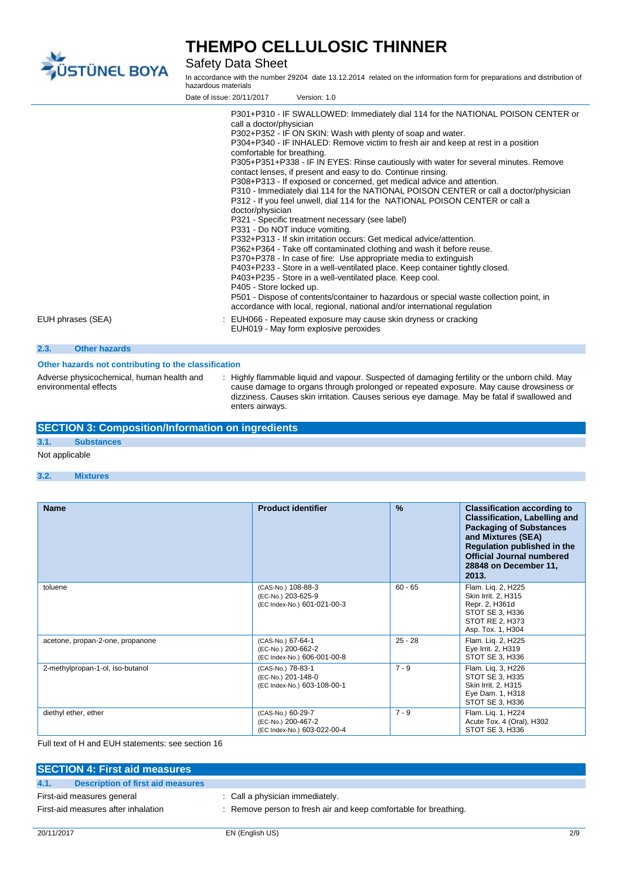

Safety Data Sheet

In accordance with the number 29204 date 13.12.2014 related on the information form for preparations and distribution of hazardous materials

|                              | Date of issue: 20/11/2017                                                                                                              | Version: 1.0                                                                                                                                                                                                                                                                                                                                                                                                                                                                                                                                                                                                                                                                                                                                                                                                                                                                                                                                                                                                                                                                                                                                                                                                                                                                                                                                           |
|------------------------------|----------------------------------------------------------------------------------------------------------------------------------------|--------------------------------------------------------------------------------------------------------------------------------------------------------------------------------------------------------------------------------------------------------------------------------------------------------------------------------------------------------------------------------------------------------------------------------------------------------------------------------------------------------------------------------------------------------------------------------------------------------------------------------------------------------------------------------------------------------------------------------------------------------------------------------------------------------------------------------------------------------------------------------------------------------------------------------------------------------------------------------------------------------------------------------------------------------------------------------------------------------------------------------------------------------------------------------------------------------------------------------------------------------------------------------------------------------------------------------------------------------|
| EUH phrases (SEA)            | call a doctor/physician<br>comfortable for breathing.<br>doctor/physician<br>P331 - Do NOT induce vomiting.<br>P405 - Store locked up. | P301+P310 - IF SWALLOWED: Immediately dial 114 for the NATIONAL POISON CENTER or<br>P302+P352 - IF ON SKIN: Wash with plenty of soap and water.<br>P304+P340 - IF INHALED: Remove victim to fresh air and keep at rest in a position<br>P305+P351+P338 - IF IN EYES: Rinse cautiously with water for several minutes. Remove<br>contact lenses, if present and easy to do. Continue rinsing.<br>P308+P313 - If exposed or concerned, get medical advice and attention.<br>P310 - Immediately dial 114 for the NATIONAL POISON CENTER or call a doctor/physician<br>P312 - If you feel unwell, dial 114 for the NATIONAL POISON CENTER or call a<br>P321 - Specific treatment necessary (see label)<br>P332+P313 - If skin irritation occurs: Get medical advice/attention.<br>P362+P364 - Take off contaminated clothing and wash it before reuse.<br>P370+P378 - In case of fire: Use appropriate media to extinguish<br>P403+P233 - Store in a well-ventilated place. Keep container tightly closed.<br>P403+P235 - Store in a well-ventilated place. Keep cool.<br>P501 - Dispose of contents/container to hazardous or special waste collection point, in<br>accordance with local, regional, national and/or international regulation<br>: EUH066 - Repeated exposure may cause skin dryness or cracking<br>EUH019 - May form explosive peroxides |
| 2.3.<br><b>Other hazards</b> |                                                                                                                                        |                                                                                                                                                                                                                                                                                                                                                                                                                                                                                                                                                                                                                                                                                                                                                                                                                                                                                                                                                                                                                                                                                                                                                                                                                                                                                                                                                        |

### **Other hazards not contributing to the classification**

Adverse physicochemical, human health and environmental effects

: Highly flammable liquid and vapour. Suspected of damaging fertility or the unborn child. May cause damage to organs through prolonged or repeated exposure. May cause drowsiness or dizziness. Causes skin irritation. Causes serious eye damage. May be fatal if swallowed and enters airways.

### **SECTION 3: Composition/Information on ingredients**

### **3.1. Substances**

#### Not applicable

#### **3.2. Mixtures**

| <b>Name</b>                      | <b>Product identifier</b>                                               | $\frac{9}{6}$ | <b>Classification according to</b><br><b>Classification, Labelling and</b><br><b>Packaging of Substances</b><br>and Mixtures (SEA)<br>Regulation published in the<br><b>Official Journal numbered</b><br>28848 on December 11,<br>2013. |
|----------------------------------|-------------------------------------------------------------------------|---------------|-----------------------------------------------------------------------------------------------------------------------------------------------------------------------------------------------------------------------------------------|
| toluene                          | (CAS-No.) 108-88-3<br>(EC-No.) 203-625-9<br>(EC Index-No.) 601-021-00-3 | $60 - 65$     | Flam. Lig. 2, H225<br>Skin Irrit. 2, H315<br>Repr. 2, H361d<br>STOT SE 3, H336<br>STOT RE 2, H373<br>Asp. Tox. 1, H304                                                                                                                  |
| acetone, propan-2-one, propanone | (CAS-No.) 67-64-1<br>(EC-No.) 200-662-2<br>(EC Index-No.) 606-001-00-8  | $25 - 28$     | Flam. Lig. 2, H225<br>Eye Irrit. 2, H319<br>STOT SE 3, H336                                                                                                                                                                             |
| 2-methylpropan-1-ol, iso-butanol | (CAS-No.) 78-83-1<br>(EC-No.) 201-148-0<br>(EC Index-No.) 603-108-00-1  | $7 - 9$       | Flam. Lig. 3, H226<br>STOT SE 3, H335<br>Skin Irrit. 2, H315<br>Eye Dam. 1, H318<br>STOT SE 3, H336                                                                                                                                     |
| diethyl ether, ether             | (CAS-No.) 60-29-7<br>(EC-No.) 200-467-2<br>(EC Index-No.) 603-022-00-4  | $7 - 9$       | Flam. Lig. 1, H224<br>Acute Tox. 4 (Oral), H302<br>STOT SE 3, H336                                                                                                                                                                      |

Full text of H and EUH statements: see section 16

| <b>SECTION 4: First aid measures</b>      |                                                                  |  |
|-------------------------------------------|------------------------------------------------------------------|--|
| Description of first aid measures<br>4.1. |                                                                  |  |
| First-aid measures general                | : Call a physician immediately.                                  |  |
| First-aid measures after inhalation       | : Remove person to fresh air and keep comfortable for breathing. |  |
|                                           |                                                                  |  |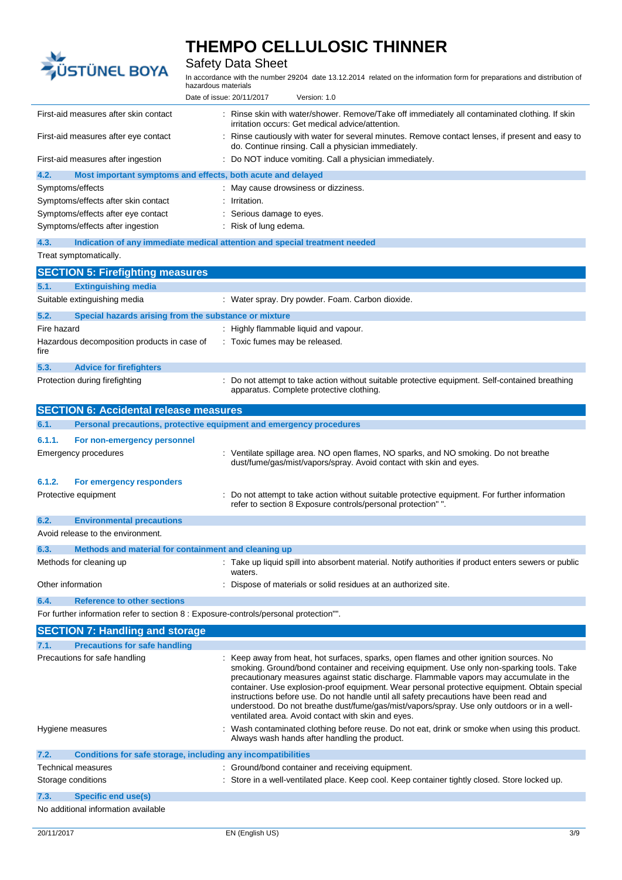

# **THEMPO CELLULOSIC THINNER**

## Safety Data Sheet

In accordance with the number 29204 date 13.12.2014 related on the information form for preparations and distribution of hazardous materials

|                                                                                       | Date of issue: 20/11/2017<br>Version: 1.0                                                                                                                                                                                                                                                                                                                                                                                                                                                                                                                                                                                    |
|---------------------------------------------------------------------------------------|------------------------------------------------------------------------------------------------------------------------------------------------------------------------------------------------------------------------------------------------------------------------------------------------------------------------------------------------------------------------------------------------------------------------------------------------------------------------------------------------------------------------------------------------------------------------------------------------------------------------------|
| First-aid measures after skin contact                                                 | : Rinse skin with water/shower. Remove/Take off immediately all contaminated clothing. If skin<br>irritation occurs: Get medical advice/attention.                                                                                                                                                                                                                                                                                                                                                                                                                                                                           |
| First-aid measures after eye contact                                                  | Rinse cautiously with water for several minutes. Remove contact lenses, if present and easy to<br>do. Continue rinsing. Call a physician immediately.                                                                                                                                                                                                                                                                                                                                                                                                                                                                        |
| First-aid measures after ingestion                                                    | : Do NOT induce vomiting. Call a physician immediately.                                                                                                                                                                                                                                                                                                                                                                                                                                                                                                                                                                      |
| 4.2.<br>Most important symptoms and effects, both acute and delayed                   |                                                                                                                                                                                                                                                                                                                                                                                                                                                                                                                                                                                                                              |
| Symptoms/effects                                                                      | May cause drowsiness or dizziness.                                                                                                                                                                                                                                                                                                                                                                                                                                                                                                                                                                                           |
| Symptoms/effects after skin contact                                                   | Irritation.                                                                                                                                                                                                                                                                                                                                                                                                                                                                                                                                                                                                                  |
| Symptoms/effects after eye contact                                                    | Serious damage to eyes.                                                                                                                                                                                                                                                                                                                                                                                                                                                                                                                                                                                                      |
| Symptoms/effects after ingestion                                                      | : Risk of lung edema.                                                                                                                                                                                                                                                                                                                                                                                                                                                                                                                                                                                                        |
| 4.3.                                                                                  |                                                                                                                                                                                                                                                                                                                                                                                                                                                                                                                                                                                                                              |
| Treat symptomatically.                                                                | Indication of any immediate medical attention and special treatment needed                                                                                                                                                                                                                                                                                                                                                                                                                                                                                                                                                   |
|                                                                                       |                                                                                                                                                                                                                                                                                                                                                                                                                                                                                                                                                                                                                              |
| <b>SECTION 5: Firefighting measures</b>                                               |                                                                                                                                                                                                                                                                                                                                                                                                                                                                                                                                                                                                                              |
| 5.1.<br><b>Extinguishing media</b>                                                    |                                                                                                                                                                                                                                                                                                                                                                                                                                                                                                                                                                                                                              |
| Suitable extinguishing media                                                          | : Water spray. Dry powder. Foam. Carbon dioxide.                                                                                                                                                                                                                                                                                                                                                                                                                                                                                                                                                                             |
| 5.2.<br>Special hazards arising from the substance or mixture                         |                                                                                                                                                                                                                                                                                                                                                                                                                                                                                                                                                                                                                              |
| Fire hazard                                                                           | : Highly flammable liquid and vapour.                                                                                                                                                                                                                                                                                                                                                                                                                                                                                                                                                                                        |
| Hazardous decomposition products in case of<br>fire                                   | : Toxic fumes may be released.                                                                                                                                                                                                                                                                                                                                                                                                                                                                                                                                                                                               |
| 5.3.<br><b>Advice for firefighters</b>                                                |                                                                                                                                                                                                                                                                                                                                                                                                                                                                                                                                                                                                                              |
| Protection during firefighting                                                        | : Do not attempt to take action without suitable protective equipment. Self-contained breathing<br>apparatus. Complete protective clothing.                                                                                                                                                                                                                                                                                                                                                                                                                                                                                  |
| <b>SECTION 6: Accidental release measures</b>                                         |                                                                                                                                                                                                                                                                                                                                                                                                                                                                                                                                                                                                                              |
| 6.1.                                                                                  | Personal precautions, protective equipment and emergency procedures                                                                                                                                                                                                                                                                                                                                                                                                                                                                                                                                                          |
| 6.1.1.<br>For non-emergency personnel                                                 |                                                                                                                                                                                                                                                                                                                                                                                                                                                                                                                                                                                                                              |
| Emergency procedures                                                                  | Ventilate spillage area. NO open flames, NO sparks, and NO smoking. Do not breathe<br>dust/fume/gas/mist/vapors/spray. Avoid contact with skin and eyes.                                                                                                                                                                                                                                                                                                                                                                                                                                                                     |
| 6.1.2.<br>For emergency responders                                                    |                                                                                                                                                                                                                                                                                                                                                                                                                                                                                                                                                                                                                              |
| Protective equipment                                                                  | Do not attempt to take action without suitable protective equipment. For further information<br>refer to section 8 Exposure controls/personal protection" ".                                                                                                                                                                                                                                                                                                                                                                                                                                                                 |
| 6.2.<br><b>Environmental precautions</b>                                              |                                                                                                                                                                                                                                                                                                                                                                                                                                                                                                                                                                                                                              |
| Avoid release to the environment.                                                     |                                                                                                                                                                                                                                                                                                                                                                                                                                                                                                                                                                                                                              |
| Methods and material for containment and cleaning up<br>6.3.                          |                                                                                                                                                                                                                                                                                                                                                                                                                                                                                                                                                                                                                              |
| Methods for cleaning up                                                               | : Take up liquid spill into absorbent material. Notify authorities if product enters sewers or public<br>waters.                                                                                                                                                                                                                                                                                                                                                                                                                                                                                                             |
| Other information                                                                     | : Dispose of materials or solid residues at an authorized site.                                                                                                                                                                                                                                                                                                                                                                                                                                                                                                                                                              |
| 6.4.<br><b>Reference to other sections</b>                                            |                                                                                                                                                                                                                                                                                                                                                                                                                                                                                                                                                                                                                              |
| For further information refer to section 8 : Exposure-controls/personal protection"". |                                                                                                                                                                                                                                                                                                                                                                                                                                                                                                                                                                                                                              |
| <b>SECTION 7: Handling and storage</b>                                                |                                                                                                                                                                                                                                                                                                                                                                                                                                                                                                                                                                                                                              |
|                                                                                       |                                                                                                                                                                                                                                                                                                                                                                                                                                                                                                                                                                                                                              |
| <b>Precautions for safe handling</b><br>7.1.                                          |                                                                                                                                                                                                                                                                                                                                                                                                                                                                                                                                                                                                                              |
| Precautions for safe handling                                                         | Keep away from heat, hot surfaces, sparks, open flames and other ignition sources. No<br>smoking. Ground/bond container and receiving equipment. Use only non-sparking tools. Take<br>precautionary measures against static discharge. Flammable vapors may accumulate in the<br>container. Use explosion-proof equipment. Wear personal protective equipment. Obtain special<br>instructions before use. Do not handle until all safety precautions have been read and<br>understood. Do not breathe dust/fume/gas/mist/vapors/spray. Use only outdoors or in a well-<br>ventilated area. Avoid contact with skin and eyes. |
| Hygiene measures                                                                      | Wash contaminated clothing before reuse. Do not eat, drink or smoke when using this product.<br>Always wash hands after handling the product.                                                                                                                                                                                                                                                                                                                                                                                                                                                                                |
| 7.2.<br>Conditions for safe storage, including any incompatibilities                  |                                                                                                                                                                                                                                                                                                                                                                                                                                                                                                                                                                                                                              |
| Technical measures                                                                    | : Ground/bond container and receiving equipment.                                                                                                                                                                                                                                                                                                                                                                                                                                                                                                                                                                             |
| Storage conditions                                                                    | : Store in a well-ventilated place. Keep cool. Keep container tightly closed. Store locked up.                                                                                                                                                                                                                                                                                                                                                                                                                                                                                                                               |
| 7.3.<br><b>Specific end use(s)</b>                                                    |                                                                                                                                                                                                                                                                                                                                                                                                                                                                                                                                                                                                                              |

No additional information available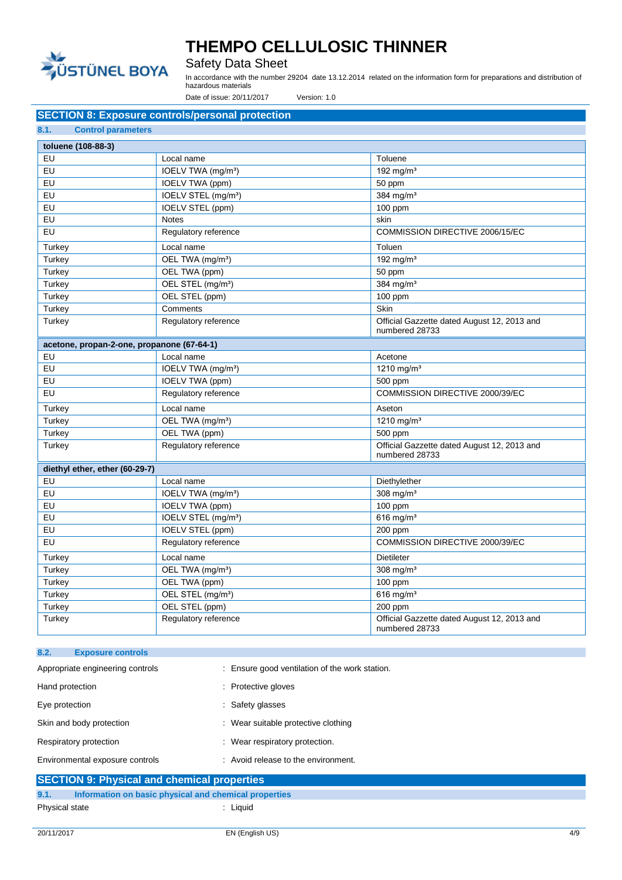

## Safety Data Sheet

In accordance with the number 29204 date 13.12.2014 related on the information form for preparations and distribution of hazardous materials

Date of issue: 20/11/2017 Version: 1.0

### **SECTION 8: Exposure controls/personal protection**

|--|

| toluene (108-88-3)                         |                                 |                                                               |
|--------------------------------------------|---------------------------------|---------------------------------------------------------------|
| EU                                         | Local name                      | Toluene                                                       |
| EU                                         | IOELV TWA (mg/m <sup>3</sup> )  | 192 mg/m $3$                                                  |
| EU                                         | IOELV TWA (ppm)                 | 50 ppm                                                        |
| EU                                         | IOELV STEL (mg/m <sup>3</sup> ) | 384 mg/m <sup>3</sup>                                         |
| EU                                         | <b>IOELV STEL (ppm)</b>         | 100 ppm                                                       |
| EU                                         | <b>Notes</b>                    | skin                                                          |
| EU                                         | Regulatory reference            | COMMISSION DIRECTIVE 2006/15/EC                               |
| Turkey                                     | Local name                      | Toluen                                                        |
| Turkey                                     | OEL TWA (mg/m <sup>3</sup> )    | $192$ mg/m <sup>3</sup>                                       |
| Turkey                                     | OEL TWA (ppm)                   | 50 ppm                                                        |
| Turkey                                     | OEL STEL (mg/m <sup>3</sup> )   | 384 mg/m <sup>3</sup>                                         |
| Turkey                                     | OEL STEL (ppm)                  | 100 ppm                                                       |
| Turkey                                     | Comments                        | Skin                                                          |
| Turkey                                     | Regulatory reference            | Official Gazzette dated August 12, 2013 and<br>numbered 28733 |
| acetone, propan-2-one, propanone (67-64-1) |                                 |                                                               |
| EU                                         | Local name                      | Acetone                                                       |
| EU                                         | IOELV TWA (mg/m <sup>3</sup> )  | 1210 mg/m $3$                                                 |
| EU                                         | IOELV TWA (ppm)                 | 500 ppm                                                       |
| EU                                         | Regulatory reference            | COMMISSION DIRECTIVE 2000/39/EC                               |
| Turkey                                     | Local name                      | Aseton                                                        |
| Turkey                                     | OEL TWA (mg/m <sup>3</sup> )    | 1210 mg/m $3$                                                 |
| Turkey                                     | OEL TWA (ppm)                   | 500 ppm                                                       |
| Turkey                                     | Regulatory reference            | Official Gazzette dated August 12, 2013 and<br>numbered 28733 |
| diethyl ether, ether (60-29-7)             |                                 |                                                               |
| EU                                         | Local name                      | Diethylether                                                  |
| EU                                         | IOELV TWA (mg/m <sup>3</sup> )  | 308 mg/ $m3$                                                  |
| EU                                         | IOELV TWA (ppm)                 | 100 ppm                                                       |
| EU                                         | IOELV STEL (mg/m <sup>3</sup> ) | $616$ mg/m <sup>3</sup>                                       |
| EU                                         | IOELV STEL (ppm)                | 200 ppm                                                       |
| EU                                         | Regulatory reference            | COMMISSION DIRECTIVE 2000/39/EC                               |
| Turkey                                     | Local name                      | <b>Dietileter</b>                                             |
| Turkey                                     | OEL TWA (mg/m <sup>3</sup> )    | 308 mg/ $m3$                                                  |
| Turkey                                     | OEL TWA (ppm)                   | $100$ ppm                                                     |
| Turkey                                     | OEL STEL (mg/m <sup>3</sup> )   | $616$ mg/m <sup>3</sup>                                       |
| Turkey                                     | OEL STEL (ppm)                  | 200 ppm                                                       |
| Turkey                                     | Regulatory reference            | Official Gazzette dated August 12, 2013 and<br>numbered 28733 |

| 8.2.<br><b>Exposure controls</b>                                                                  |                                                |
|---------------------------------------------------------------------------------------------------|------------------------------------------------|
| Appropriate engineering controls                                                                  | : Ensure good ventilation of the work station. |
| Hand protection                                                                                   | : Protective gloves                            |
| Eye protection                                                                                    | : Safety glasses                               |
| Skin and body protection                                                                          | : Wear suitable protective clothing            |
| Respiratory protection                                                                            | : Wear respiratory protection.                 |
| Environmental exposure controls                                                                   | : Avoid release to the environment.            |
| $\mathbf{A} = \mathbf{A} = \mathbf{A} \mathbf{A} + \mathbf{A} \mathbf{A} + \mathbf{A} \mathbf{A}$ |                                                |

|                | <b>SECTION 9: Physical and chemical properties</b>    |        |
|----------------|-------------------------------------------------------|--------|
| 9.1.           | Information on basic physical and chemical properties |        |
| Physical state |                                                       | Liauid |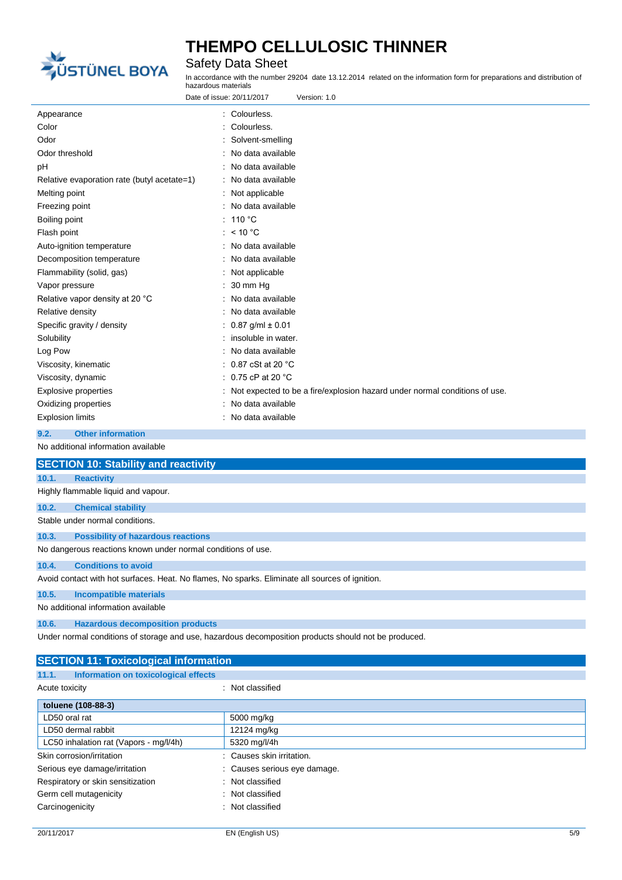

Safety Data Sheet

In accordance with the number 29204 date 13.12.2014 related on the information form for preparations and distribution of hazardous materials

| Date of issue: 20/11/2017<br>Version: 1.0   |                                                                            |  |
|---------------------------------------------|----------------------------------------------------------------------------|--|
| Appearance                                  | : Colourless.                                                              |  |
| Color                                       | Colourless.                                                                |  |
| Odor                                        | Solvent-smelling                                                           |  |
| Odor threshold                              | No data available                                                          |  |
| рH                                          | No data available                                                          |  |
| Relative evaporation rate (butyl acetate=1) | No data available                                                          |  |
| Melting point                               | Not applicable                                                             |  |
| Freezing point                              | : No data available                                                        |  |
| Boiling point                               | : 110 °C                                                                   |  |
| Flash point                                 | : $< 10 °C$                                                                |  |
| Auto-ignition temperature                   | No data available                                                          |  |
| Decomposition temperature                   | No data available                                                          |  |
| Flammability (solid, gas)                   | Not applicable                                                             |  |
| Vapor pressure                              | 30 mm Hg                                                                   |  |
| Relative vapor density at 20 °C             | No data available                                                          |  |
| Relative density                            | No data available                                                          |  |
| Specific gravity / density                  | $0.87$ g/ml $\pm 0.01$                                                     |  |
| Solubility                                  | insoluble in water.                                                        |  |
| Log Pow                                     | No data available                                                          |  |
| Viscosity, kinematic                        | $: 0.87$ cSt at 20 °C                                                      |  |
| Viscosity, dynamic                          | $: 0.75$ cP at 20 °C                                                       |  |
| <b>Explosive properties</b>                 | Not expected to be a fire/explosion hazard under normal conditions of use. |  |
| Oxidizing properties                        | No data available                                                          |  |
| <b>Explosion limits</b>                     | No data available                                                          |  |

### **9.2. Other information**

No additional information available

|       | <b>SECTION 10: Stability and reactivity</b>                                                          |
|-------|------------------------------------------------------------------------------------------------------|
| 10.1. | <b>Reactivity</b>                                                                                    |
|       | Highly flammable liquid and vapour.                                                                  |
| 10.2. | <b>Chemical stability</b>                                                                            |
|       | Stable under normal conditions.                                                                      |
| 10.3. | <b>Possibility of hazardous reactions</b>                                                            |
|       | No dangerous reactions known under normal conditions of use.                                         |
| 10.4. | <b>Conditions to avoid</b>                                                                           |
|       | Avoid contact with hot surfaces. Heat. No flames, No sparks. Eliminate all sources of ignition.      |
| 10.5. | <b>Incompatible materials</b>                                                                        |
|       | No additional information available                                                                  |
| 10.6. | <b>Hazardous decomposition products</b>                                                              |
|       | Under normal conditions of storage and use, hazardous decomposition products should not be produced. |

| <b>SECTION 11: Toxicological information</b>  |                              |  |
|-----------------------------------------------|------------------------------|--|
| 11.1.<br>Information on toxicological effects |                              |  |
| Acute toxicity                                | : Not classified             |  |
| toluene (108-88-3)                            |                              |  |
| LD50 oral rat                                 | 5000 mg/kg                   |  |
| LD50 dermal rabbit                            | 12124 mg/kg                  |  |
| LC50 inhalation rat (Vapors - mg/l/4h)        | 5320 mg/l/4h                 |  |
| Skin corrosion/irritation                     | : Causes skin irritation.    |  |
| Serious eye damage/irritation                 | : Causes serious eye damage. |  |
| Respiratory or skin sensitization             | : Not classified             |  |
| Germ cell mutagenicity<br>۰                   | Not classified               |  |
| Carcinogenicity                               | : Not classified             |  |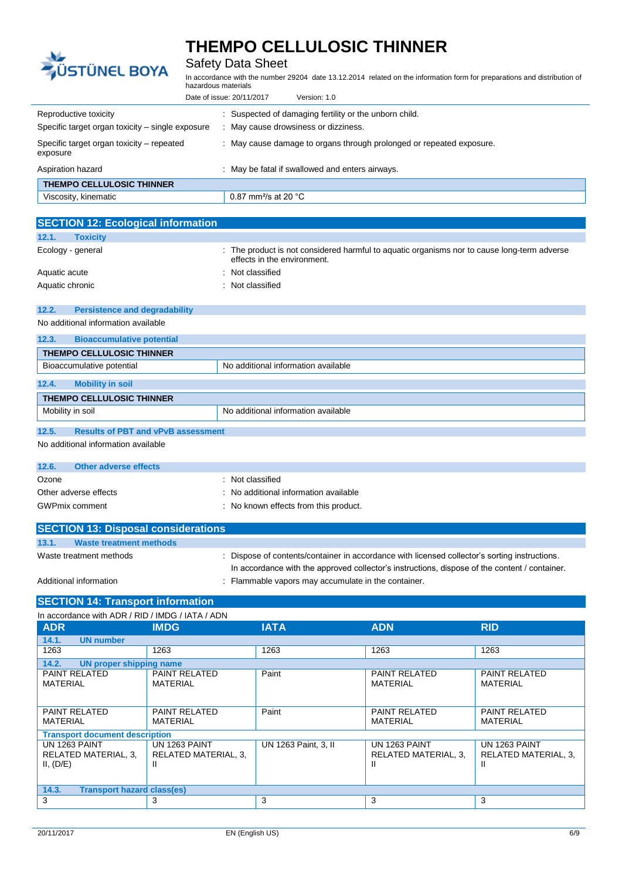

## Safety Data Sheet

In accordance with the number 29204 date 13.12.2014 related on the information form for preparations and distribution of hazardous materials

| Version: 1.0<br>Date of issue: 20/11/2017                                 |                                                                                            |  |  |
|---------------------------------------------------------------------------|--------------------------------------------------------------------------------------------|--|--|
| Reproductive toxicity<br>Specific target organ toxicity - single exposure | Suspected of damaging fertility or the unborn child.<br>May cause drowsiness or dizziness. |  |  |
| Specific target organ toxicity – repeated<br>exposure                     | : May cause damage to organs through prolonged or repeated exposure.                       |  |  |
| Aspiration hazard                                                         | May be fatal if swallowed and enters airways.                                              |  |  |
| <b>THEMPO CELLULOSIC THINNER</b>                                          |                                                                                            |  |  |
| Viscosity, kinematic                                                      | 0.87 mm <sup>2</sup> /s at 20 $^{\circ}$ C                                                 |  |  |

| <b>SECTION 12: Ecological information</b>     |                                                                                                                               |  |  |  |
|-----------------------------------------------|-------------------------------------------------------------------------------------------------------------------------------|--|--|--|
| 12.1.<br><b>Toxicity</b>                      |                                                                                                                               |  |  |  |
| Ecology - general                             | The product is not considered harmful to aquatic organisms nor to cause long-term adverse<br>÷<br>effects in the environment. |  |  |  |
| Aquatic acute                                 | Not classified                                                                                                                |  |  |  |
| Aquatic chronic                               | : Not classified                                                                                                              |  |  |  |
|                                               |                                                                                                                               |  |  |  |
| 12.2.<br><b>Persistence and degradability</b> |                                                                                                                               |  |  |  |
| No additional information available           |                                                                                                                               |  |  |  |
| 12.3.<br><b>Bioaccumulative potential</b>     |                                                                                                                               |  |  |  |
| <b>THEMPO CELLULOSIC THINNER</b>              |                                                                                                                               |  |  |  |
| Bioaccumulative potential                     | No additional information available                                                                                           |  |  |  |
| 12.4.<br><b>Mobility in soil</b>              |                                                                                                                               |  |  |  |
|                                               |                                                                                                                               |  |  |  |
| <b>THEMPO CELLULOSIC THINNER</b>              |                                                                                                                               |  |  |  |
| Mobility in soil                              | No additional information available                                                                                           |  |  |  |

#### **12.5. Results of PBT and vPvB assessment**

No additional information available

| 12.6. | Other adverse effects                      |                                       |
|-------|--------------------------------------------|---------------------------------------|
| Ozone |                                            | : Not classified                      |
|       | Other adverse effects                      | No additional information available   |
|       | <b>GWPmix comment</b>                      | : No known effects from this product. |
|       | <b>SECTION 13: Disposal considerations</b> |                                       |
| 13.1. | <b>Waste treatment methods</b>             |                                       |

| Waste treatment methods | : Dispose of contents/container in accordance with licensed collector's sorting instructions. |
|-------------------------|-----------------------------------------------------------------------------------------------|
|                         | In accordance with the approved collector's instructions, dispose of the content / container. |
| Additional information  | : Flammable vapors may accumulate in the container.                                           |

#### **SECTION 14: Transport information**

| In accordance with ADR / RID / IMDG / IATA / ADN          |                                                   |                                                  |                                             |                                                    |  |
|-----------------------------------------------------------|---------------------------------------------------|--------------------------------------------------|---------------------------------------------|----------------------------------------------------|--|
| <b>ADR</b>                                                | <b>IMDG</b>                                       | <b>IATA</b>                                      | <b>ADN</b>                                  | <b>RID</b>                                         |  |
| 14.1.<br><b>UN number</b>                                 |                                                   |                                                  |                                             |                                                    |  |
| 1263                                                      | 1263                                              | 1263                                             | 1263                                        | 1263                                               |  |
| 14.2.<br>UN proper shipping name                          |                                                   |                                                  |                                             |                                                    |  |
| <b>PAINT RELATED</b><br><b>MATERIAL</b>                   | <b>PAINT RELATED</b><br><b>MATERIAL</b>           | Paint                                            | <b>PAINT RELATED</b><br>MATERIAL            | <b>PAINT RELATED</b><br><b>MATERIAL</b>            |  |
| <b>PAINT RELATED</b><br><b>MATERIAL</b>                   | <b>PAINT RELATED</b><br><b>MATERIAL</b>           | Paint<br><b>PAINT RELATED</b><br><b>MATERIAL</b> |                                             | <b>PAINT RELATED</b><br><b>MATERIAL</b>            |  |
| <b>Transport document description</b>                     |                                                   |                                                  |                                             |                                                    |  |
| <b>UN 1263 PAINT</b><br>RELATED MATERIAL, 3,<br>II, (D/E) | <b>UN 1263 PAINT</b><br>RELATED MATERIAL, 3,<br>Ш | UN 1263 Paint, 3, II                             | UN 1263 PAINT<br>RELATED MATERIAL, 3,<br>H. | <b>UN 1263 PAINT</b><br>RELATED MATERIAL, 3,<br>н. |  |
| 14.3.<br><b>Transport hazard class(es)</b>                |                                                   |                                                  |                                             |                                                    |  |
| 3                                                         | 3                                                 | 3                                                | 3                                           | 3                                                  |  |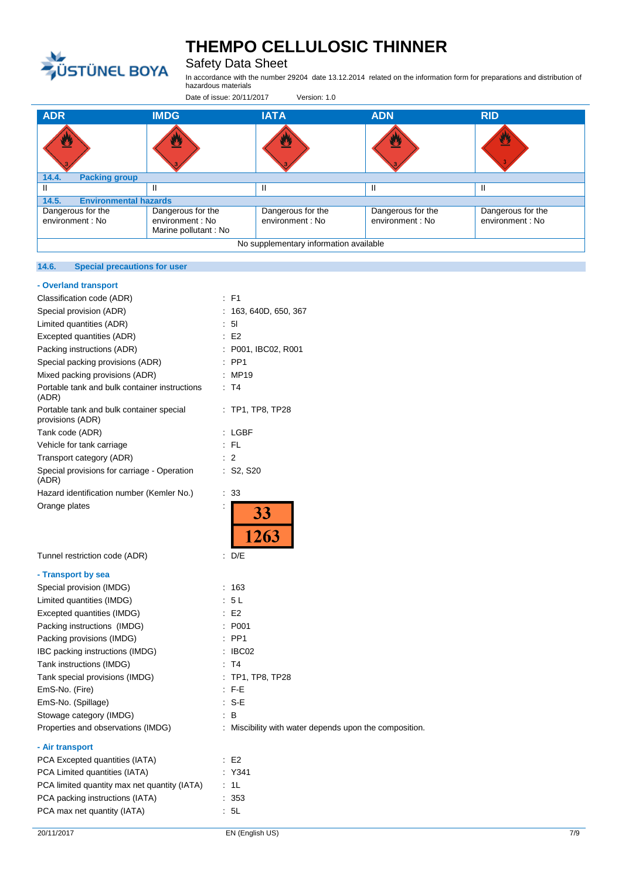

## Safety Data Sheet

In accordance with the number 29204 date 13.12.2014 related on the information form for preparations and distribution of hazardous materials

Date of issue: 20/11/2017 Version: 1.0

| <b>ADR</b>                             | <b>IMDG</b>                                                   | <b>IATA</b>                           | <b>ADN</b>                            | <b>RID</b>                            |  |
|----------------------------------------|---------------------------------------------------------------|---------------------------------------|---------------------------------------|---------------------------------------|--|
| ै                                      |                                                               | ⋓                                     | U.                                    | 翌                                     |  |
| <b>Packing group</b><br>14.4.          |                                                               |                                       |                                       |                                       |  |
|                                        | Ш                                                             |                                       |                                       | H                                     |  |
| <b>Environmental hazards</b><br>14.5.  |                                                               |                                       |                                       |                                       |  |
| Dangerous for the<br>environment : No  | Dangerous for the<br>environment : No<br>Marine pollutant: No | Dangerous for the<br>environment : No | Dangerous for the<br>environment : No | Dangerous for the<br>environment : No |  |
| No supplementary information available |                                                               |                                       |                                       |                                       |  |

#### **14.6. Special precautions for user**

| - Overland transport                                         |    |                                                        |
|--------------------------------------------------------------|----|--------------------------------------------------------|
| Classification code (ADR)                                    |    | $E$ F1                                                 |
| Special provision (ADR)                                      |    | : 163, 640D, 650, 367                                  |
| Limited quantities (ADR)                                     |    | : 51                                                   |
| Excepted quantities (ADR)                                    |    | E2                                                     |
| Packing instructions (ADR)                                   |    | : P001, IBC02, R001                                    |
| Special packing provisions (ADR)                             |    | $\therefore$ PP1                                       |
| Mixed packing provisions (ADR)                               |    | : MP19                                                 |
| Portable tank and bulk container instructions<br>(ADR)       |    | : T4                                                   |
| Portable tank and bulk container special<br>provisions (ADR) |    | $:$ TP1, TP8, TP28                                     |
| Tank code (ADR)                                              |    | : LGBF                                                 |
| Vehicle for tank carriage                                    |    | $:$ FL                                                 |
| Transport category (ADR)                                     |    | $\therefore$ 2                                         |
| Special provisions for carriage - Operation<br>(ADR)         |    | $:$ S2, S20                                            |
| Hazard identification number (Kemler No.)                    | t. | 33                                                     |
| Orange plates                                                |    | 33 <sup>7</sup><br>$\frac{12}{1263}$                   |
| Tunnel restriction code (ADR)                                |    | : D/E                                                  |
| - Transport by sea                                           |    |                                                        |
| Special provision (IMDG)                                     |    | : 163                                                  |
| Limited quantities (IMDG)                                    |    | : 5L                                                   |
| Excepted quantities (IMDG)                                   |    | E2                                                     |
| Packing instructions (IMDG)                                  |    | : P001                                                 |
| Packing provisions (IMDG)                                    |    | $:$ PP1                                                |
| IBC packing instructions (IMDG)                              |    | $\therefore$ IBC02                                     |
| Tank instructions (IMDG)                                     |    | : T4                                                   |
| Tank special provisions (IMDG)                               |    | $:$ TP1, TP8, TP28                                     |
| EmS-No. (Fire)                                               |    | $\therefore$ F-E                                       |
| EmS-No. (Spillage)                                           |    | $: S-E$                                                |
| Stowage category (IMDG)                                      |    | : B                                                    |
| Properties and observations (IMDG)                           |    | : Miscibility with water depends upon the composition. |
| - Air transport                                              |    |                                                        |
| PCA Excepted quantities (IATA)                               |    | : E2                                                   |
| PCA Limited quantities (IATA)                                |    | Y341                                                   |
| PCA limited quantity max net quantity (IATA)                 |    | : 1L                                                   |
| PCA packing instructions (IATA)                              |    | : 353                                                  |
| PCA max net quantity (IATA)                                  |    | : 5L                                                   |
|                                                              |    |                                                        |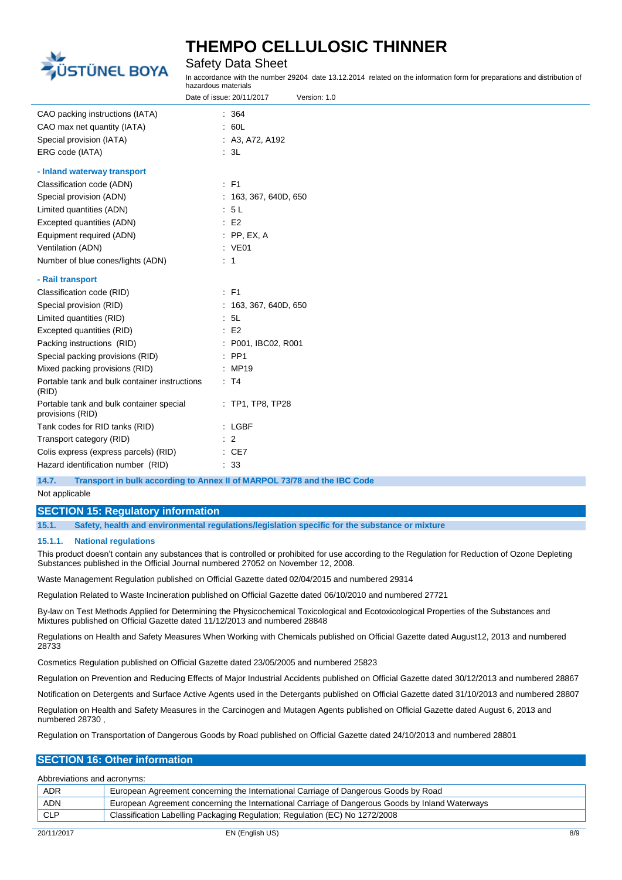

Safety Data Sheet

In accordance with the number 29204 date 13.12.2014 related on the information form for preparations and distribution of hazardous materials

|                                                              | Date of issue: 20/11/2017<br>Version: 1.0 |
|--------------------------------------------------------------|-------------------------------------------|
| CAO packing instructions (IATA)                              | : 364                                     |
| CAO max net quantity (IATA)                                  | .60L                                      |
| Special provision (IATA)                                     | : A3, A72, A192                           |
| ERG code (IATA)                                              | : 3L                                      |
| - Inland waterway transport                                  |                                           |
| Classification code (ADN)                                    | $:$ F1                                    |
| Special provision (ADN)                                      | : 163, 367, 640D, 650                     |
| Limited quantities (ADN)                                     | : 5L                                      |
| Excepted quantities (ADN)                                    | E2                                        |
| Equipment required (ADN)                                     | $:$ PP, EX, A                             |
| Ventilation (ADN)                                            | : VE01                                    |
| Number of blue cones/lights (ADN)                            | $\therefore$ 1                            |
| - Rail transport                                             |                                           |
| Classification code (RID)                                    | $E$ F1                                    |
| Special provision (RID)                                      | : 163, 367, 640D, 650                     |
| Limited quantities (RID)                                     | : 5L                                      |
| Excepted quantities (RID)                                    | E2                                        |
| Packing instructions (RID)                                   | : P001, IBC02, R001                       |
| Special packing provisions (RID)                             | $\therefore$ PP1                          |
| Mixed packing provisions (RID)                               | : MP19                                    |
| Portable tank and bulk container instructions<br>(RID)       | : T4                                      |
| Portable tank and bulk container special<br>provisions (RID) | : TP1, TP8, TP28                          |
| Tank codes for RID tanks (RID)                               | : LGBF                                    |
| Transport category (RID)                                     | $\therefore$ 2                            |
| Colis express (express parcels) (RID)                        | $\therefore$ CE7                          |
| Hazard identification number (RID)                           | : 33                                      |
|                                                              |                                           |

**14.7. Transport in bulk according to Annex II of MARPOL 73/78 and the IBC Code**

Not applicable

### **SECTION 15: Regulatory information**

**15.1. Safety, health and environmental regulations/legislation specific for the substance or mixture**

#### **15.1.1. National regulations**

This product doesn't contain any substances that is controlled or prohibited for use according to the Regulation for Reduction of Ozone Depleting Substances published in the Official Journal numbered 27052 on November 12, 2008.

Waste Management Regulation published on Official Gazette dated 02/04/2015 and numbered 29314

Regulation Related to Waste Incineration published on Official Gazette dated 06/10/2010 and numbered 27721

By-law on Test Methods Applied for Determining the Physicochemical Toxicological and Ecotoxicological Properties of the Substances and Mixtures published on Official Gazette dated 11/12/2013 and numbered 28848

Regulations on Health and Safety Measures When Working with Chemicals published on Official Gazette dated August12, 2013 and numbered 28733

Cosmetics Regulation published on Official Gazette dated 23/05/2005 and numbered 25823

Regulation on Prevention and Reducing Effects of Major Industrial Accidents published on Official Gazette dated 30/12/2013 and numbered 28867

Notification on Detergents and Surface Active Agents used in the Detergants published on Official Gazette dated 31/10/2013 and numbered 28807

Regulation on Health and Safety Measures in the Carcinogen and Mutagen Agents published on Official Gazette dated August 6, 2013 and numbered 28730 ,

Regulation on Transportation of Dangerous Goods by Road published on Official Gazette dated 24/10/2013 and numbered 28801

#### **SECTION 16: Other information**

Abbreviations and acronyms:

| <b>ADR</b> | European Agreement concerning the International Carriage of Dangerous Goods by Road             |
|------------|-------------------------------------------------------------------------------------------------|
| <b>ADN</b> | European Agreement concerning the International Carriage of Dangerous Goods by Inland Waterways |
| <b>CLP</b> | Classification Labelling Packaging Regulation; Regulation (EC) No 1272/2008                     |